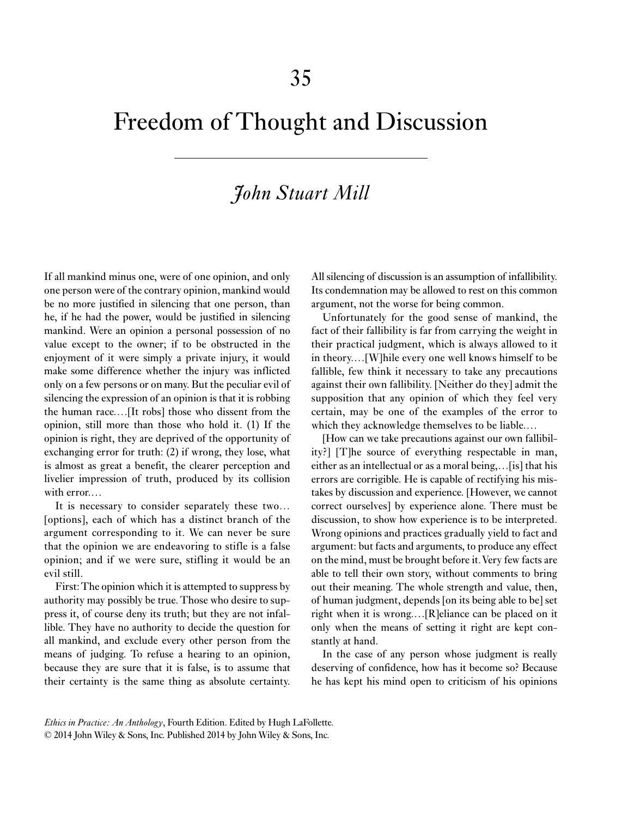## Freedom of Thought and Discussion

## *John Stuart Mill*

If all mankind minus one, were of one opinion, and only one person were of the contrary opinion, mankind would be no more justified in silencing that one person, than he, if he had the power, would be justified in silencing mankind. Were an opinion a personal possession of no value except to the owner; if to be obstructed in the enjoyment of it were simply a private injury, it would make some difference whether the injury was inflicted only on a few persons or on many. But the peculiar evil of silencing the expression of an opinion is that it is robbing the human race.…[It robs] those who dissent from the opinion, still more than those who hold it. (1) If the opinion is right, they are deprived of the opportunity of exchanging error for truth: (2) if wrong, they lose, what is almost as great a benefit, the clearer perception and livelier impression of truth, produced by its collision with error.…

It is necessary to consider separately these two… [options], each of which has a distinct branch of the argument corresponding to it. We can never be sure that the opinion we are endeavoring to stifle is a false opinion; and if we were sure, stifling it would be an evil still.

First: The opinion which it is attempted to suppress by authority may possibly be true. Those who desire to suppress it, of course deny its truth; but they are not infallible. They have no authority to decide the question for all mankind, and exclude every other person from the means of judging. To refuse a hearing to an opinion, because they are sure that it is false, is to assume that their certainty is the same thing as absolute certainty. All silencing of discussion is an assumption of infallibility. Its condemnation may be allowed to rest on this common argument, not the worse for being common.

Unfortunately for the good sense of mankind, the fact of their fallibility is far from carrying the weight in their practical judgment, which is always allowed to it in theory.…[W]hile every one well knows himself to be fallible, few think it necessary to take any precautions against their own fallibility. [Neither do they] admit the supposition that any opinion of which they feel very certain, may be one of the examples of the error to which they acknowledge themselves to be liable.…

[How can we take precautions against our own fallibility?] [T]he source of everything respectable in man, either as an intellectual or as a moral being,…[is] that his errors are corrigible. He is capable of rectifying his mistakes by discussion and experience. [However, we cannot correct ourselves] by experience alone. There must be discussion, to show how experience is to be interpreted. Wrong opinions and practices gradually yield to fact and argument: but facts and arguments, to produce any effect on the mind, must be brought before it. Very few facts are able to tell their own story, without comments to bring out their meaning. The whole strength and value, then, of human judgment, depends [on its being able to be] set right when it is wrong.…[R]eliance can be placed on it only when the means of setting it right are kept constantly at hand.

In the case of any person whose judgment is really deserving of confidence, how has it become so? Because he has kept his mind open to criticism of his opinions

*Ethics in Practice: An Anthology*, Fourth Edition. Edited by Hugh LaFollette. © 2014 John Wiley & Sons, Inc. Published 2014 by John Wiley & Sons, Inc.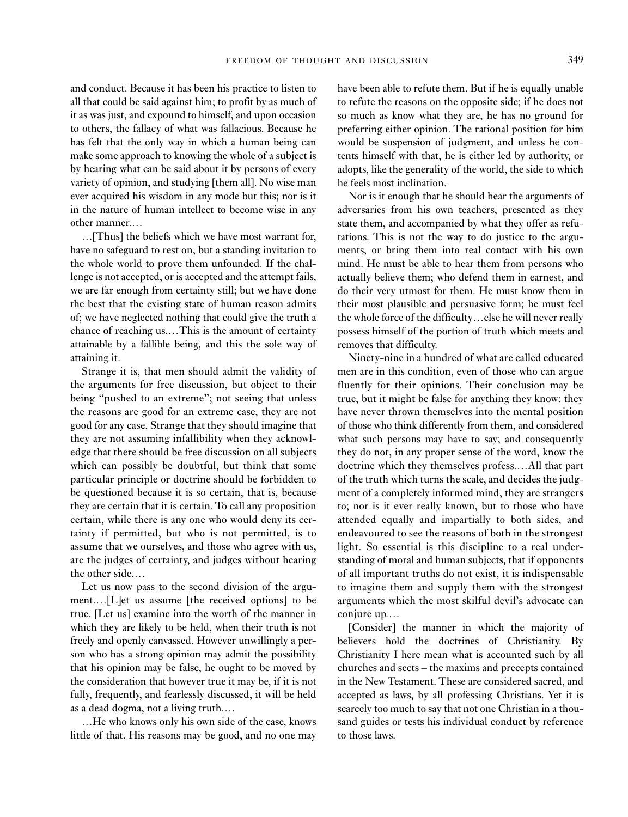and conduct. Because it has been his practice to listen to all that could be said against him; to profit by as much of it as was just, and expound to himself, and upon occasion to others, the fallacy of what was fallacious. Because he has felt that the only way in which a human being can make some approach to knowing the whole of a subject is by hearing what can be said about it by persons of every variety of opinion, and studying [them all]. No wise man ever acquired his wisdom in any mode but this; nor is it in the nature of human intellect to become wise in any other manner.…

…[Thus] the beliefs which we have most warrant for, have no safeguard to rest on, but a standing invitation to the whole world to prove them unfounded. If the challenge is not accepted, or is accepted and the attempt fails, we are far enough from certainty still; but we have done the best that the existing state of human reason admits of; we have neglected nothing that could give the truth a chance of reaching us.…This is the amount of certainty attainable by a fallible being, and this the sole way of attaining it.

Strange it is, that men should admit the validity of the arguments for free discussion, but object to their being "pushed to an extreme"; not seeing that unless the reasons are good for an extreme case, they are not good for any case. Strange that they should imagine that they are not assuming infallibility when they acknowledge that there should be free discussion on all subjects which can possibly be doubtful, but think that some particular principle or doctrine should be forbidden to be questioned because it is so certain, that is, because they are certain that it is certain. To call any proposition certain, while there is any one who would deny its certainty if permitted, but who is not permitted, is to assume that we ourselves, and those who agree with us, are the judges of certainty, and judges without hearing the other side.…

Let us now pass to the second division of the argument.…[L]et us assume [the received options] to be true. [Let us] examine into the worth of the manner in which they are likely to be held, when their truth is not freely and openly canvassed. However unwillingly a person who has a strong opinion may admit the possibility that his opinion may be false, he ought to be moved by the consideration that however true it may be, if it is not fully, frequently, and fearlessly discussed, it will be held as a dead dogma, not a living truth.…

…He who knows only his own side of the case, knows little of that. His reasons may be good, and no one may

have been able to refute them. But if he is equally unable to refute the reasons on the opposite side; if he does not so much as know what they are, he has no ground for preferring either opinion. The rational position for him would be suspension of judgment, and unless he contents himself with that, he is either led by authority, or adopts, like the generality of the world, the side to which he feels most inclination.

Nor is it enough that he should hear the arguments of adversaries from his own teachers, presented as they state them, and accompanied by what they offer as refutations. This is not the way to do justice to the arguments, or bring them into real contact with his own mind. He must be able to hear them from persons who actually believe them; who defend them in earnest, and do their very utmost for them. He must know them in their most plausible and persuasive form; he must feel the whole force of the difficulty…else he will never really possess himself of the portion of truth which meets and removes that difficulty.

Ninety-nine in a hundred of what are called educated men are in this condition, even of those who can argue fluently for their opinions. Their conclusion may be true, but it might be false for anything they know: they have never thrown themselves into the mental position of those who think differently from them, and considered what such persons may have to say; and consequently they do not, in any proper sense of the word, know the doctrine which they themselves profess.…All that part of the truth which turns the scale, and decides the judgment of a completely informed mind, they are strangers to; nor is it ever really known, but to those who have attended equally and impartially to both sides, and endeavoured to see the reasons of both in the strongest light. So essential is this discipline to a real understanding of moral and human subjects, that if opponents of all important truths do not exist, it is indispensable to imagine them and supply them with the strongest arguments which the most skilful devil's advocate can conjure up.…

[Consider] the manner in which the majority of believers hold the doctrines of Christianity. By Christianity I here mean what is accounted such by all churches and sects – the maxims and precepts contained in the New Testament. These are considered sacred, and accepted as laws, by all professing Christians. Yet it is scarcely too much to say that not one Christian in a thousand guides or tests his individual conduct by reference to those laws.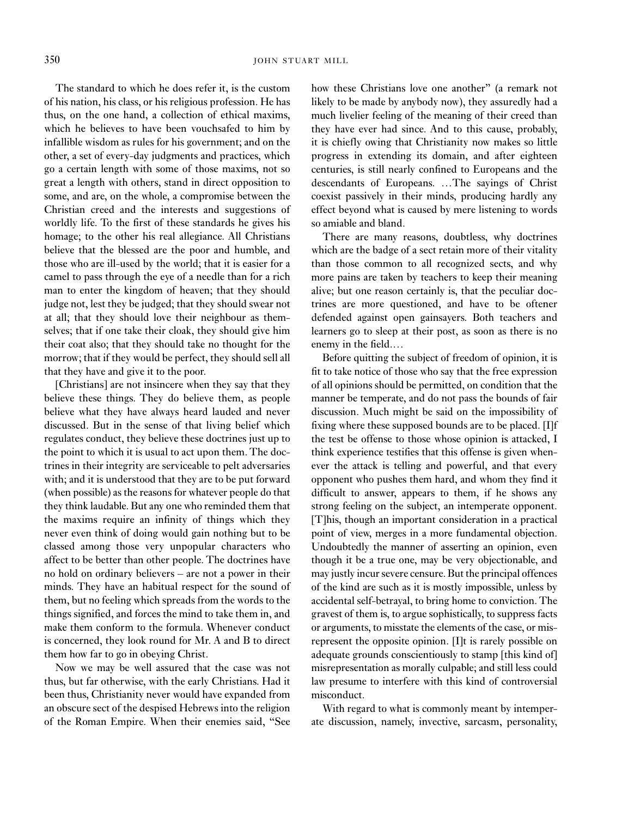The standard to which he does refer it, is the custom of his nation, his class, or his religious profession. He has thus, on the one hand, a collection of ethical maxims, which he believes to have been vouchsafed to him by infallible wisdom as rules for his government; and on the other, a set of every-day judgments and practices, which go a certain length with some of those maxims, not so great a length with others, stand in direct opposition to some, and are, on the whole, a compromise between the Christian creed and the interests and suggestions of worldly life. To the first of these standards he gives his homage; to the other his real allegiance. All Christians believe that the blessed are the poor and humble, and those who are ill-used by the world; that it is easier for a camel to pass through the eye of a needle than for a rich man to enter the kingdom of heaven; that they should judge not, lest they be judged; that they should swear not at all; that they should love their neighbour as themselves; that if one take their cloak, they should give him their coat also; that they should take no thought for the morrow; that if they would be perfect, they should sell all that they have and give it to the poor.

[Christians] are not insincere when they say that they believe these things. They do believe them, as people believe what they have always heard lauded and never discussed. But in the sense of that living belief which regulates conduct, they believe these doctrines just up to the point to which it is usual to act upon them. The doctrines in their integrity are serviceable to pelt adversaries with; and it is understood that they are to be put forward (when possible) as the reasons for whatever people do that they think laudable. But any one who reminded them that the maxims require an infinity of things which they never even think of doing would gain nothing but to be classed among those very unpopular characters who affect to be better than other people. The doctrines have no hold on ordinary believers – are not a power in their minds. They have an habitual respect for the sound of them, but no feeling which spreads from the words to the things signified, and forces the mind to take them in, and make them conform to the formula. Whenever conduct is concerned, they look round for Mr. A and B to direct them how far to go in obeying Christ.

Now we may be well assured that the case was not thus, but far otherwise, with the early Christians. Had it been thus, Christianity never would have expanded from an obscure sect of the despised Hebrews into the religion of the Roman Empire. When their enemies said, "See how these Christians love one another" (a remark not likely to be made by anybody now), they assuredly had a much livelier feeling of the meaning of their creed than they have ever had since. And to this cause, probably, it is chiefly owing that Christianity now makes so little progress in extending its domain, and after eighteen centuries, is still nearly confined to Europeans and the descendants of Europeans. …The sayings of Christ coexist passively in their minds, producing hardly any effect beyond what is caused by mere listening to words so amiable and bland.

There are many reasons, doubtless, why doctrines which are the badge of a sect retain more of their vitality than those common to all recognized sects, and why more pains are taken by teachers to keep their meaning alive; but one reason certainly is, that the peculiar doctrines are more questioned, and have to be oftener defended against open gainsayers. Both teachers and learners go to sleep at their post, as soon as there is no enemy in the field.…

Before quitting the subject of freedom of opinion, it is fit to take notice of those who say that the free expression of all opinions should be permitted, on condition that the manner be temperate, and do not pass the bounds of fair discussion. Much might be said on the impossibility of fixing where these supposed bounds are to be placed. [I]f the test be offense to those whose opinion is attacked, I think experience testifies that this offense is given whenever the attack is telling and powerful, and that every opponent who pushes them hard, and whom they find it difficult to answer, appears to them, if he shows any strong feeling on the subject, an intemperate opponent. [T]his, though an important consideration in a practical point of view, merges in a more fundamental objection. Undoubtedly the manner of asserting an opinion, even though it be a true one, may be very objectionable, and may justly incur severe censure. But the principal offences of the kind are such as it is mostly impossible, unless by accidental self-betrayal, to bring home to conviction. The gravest of them is, to argue sophistically, to suppress facts or arguments, to misstate the elements of the case, or misrepresent the opposite opinion. [I]t is rarely possible on adequate grounds conscientiously to stamp [this kind of] misrepresentation as morally culpable; and still less could law presume to interfere with this kind of controversial misconduct.

With regard to what is commonly meant by intemperate discussion, namely, invective, sarcasm, personality,